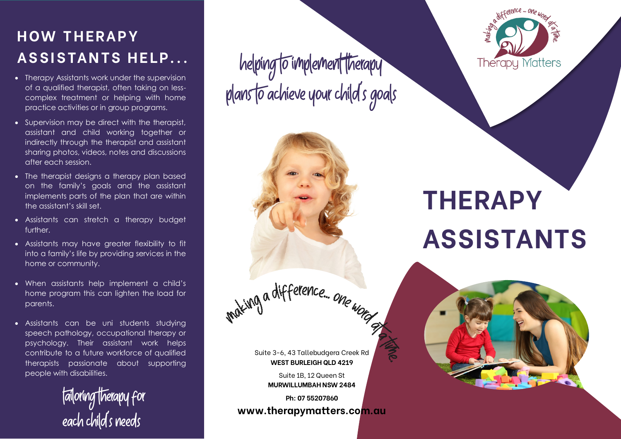### **H OW T H E RA P Y ASSISTANTS HELP...**

- Therapy Assistants work under the supervision of a qualified therapist, often taking on lesscomplex treatment or helping with home practice activities or in group programs.
- Supervision may be direct with the therapist, assistant and child working together or indirectly through the therapist and assistant sharing photos, videos, notes and discussions after each session.
- The therapist desians a therapy plan based on the family's goals and the assistant implements parts of the plan that are within the assistant's skill set.
- Assistants can stretch a therapy budget further.
- Assistants may have greater flexibility to fit into a family's life by providing services in the home or community.
- When assistants help implement a child's home program this can lighten the load for parents.
- Assistants can be uni students studying speech pathology, occupational therapy or psychology. Their assistant work helps contribute to a future workforce of qualified therapists passionate about supporting people with disabilities.

tailoring therapy for<br>each child's needs

helping to implement therapy<br>plans to achieve your child's goals



Suite 3-6, 43 Tallebudgera Creek Rd **WEST BURLEIGH QLD 4219**

> Suite 1B, 12 Queen St **MURWILLUMBAH NSW 2484**

**Ph: 07 55207860 www.therapymatters.com.au**



# **THERAPY ASSISTANTS**